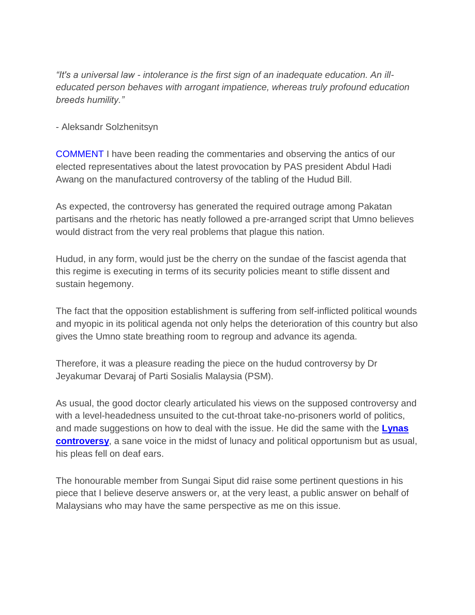*"It's a universal law - intolerance is the first sign of an inadequate education. An illeducated person behaves with arrogant impatience, whereas truly profound education breeds humility."*

- Aleksandr Solzhenitsyn

COMMENT I have been reading the commentaries and observing the antics of our elected representatives about the latest provocation by PAS president Abdul Hadi Awang on the manufactured controversy of the tabling of the Hudud Bill.

As expected, the controversy has generated the required outrage among Pakatan partisans and the rhetoric has neatly followed a pre-arranged script that Umno believes would distract from the very real problems that plague this nation.

Hudud, in any form, would just be the cherry on the sundae of the fascist agenda that this regime is executing in terms of its security policies meant to stifle dissent and sustain hegemony.

The fact that the opposition establishment is suffering from self-inflicted political wounds and myopic in its political agenda not only helps the deterioration of this country but also gives the Umno state breathing room to regroup and advance its agenda.

Therefore, it was a pleasure reading the piece on the hudud controversy by Dr Jeyakumar Devaraj of Parti Sosialis Malaysia (PSM).

As usual, the good doctor clearly articulated his views on the supposed controversy and with a level-headedness unsuited to the cut-throat take-no-prisoners world of politics, and made suggestions on how to deal with the issue. He did the same with the **[Lynas](http://www.malaysiakini.com/news/216713)  [controversy](http://www.malaysiakini.com/news/216713)**, a sane voice in the midst of lunacy and political opportunism but as usual, his pleas fell on deaf ears.

The honourable member from Sungai Siput did raise some pertinent questions in his piece that I believe deserve answers or, at the very least, a public answer on behalf of Malaysians who may have the same perspective as me on this issue.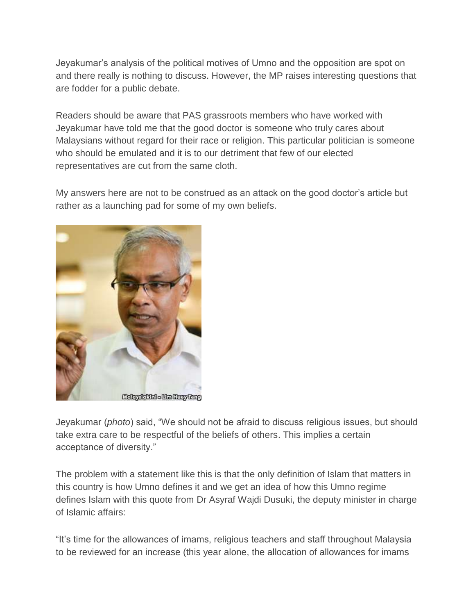Jeyakumar's analysis of the political motives of Umno and the opposition are spot on and there really is nothing to discuss. However, the MP raises interesting questions that are fodder for a public debate.

Readers should be aware that PAS grassroots members who have worked with Jeyakumar have told me that the good doctor is someone who truly cares about Malaysians without regard for their race or religion. This particular politician is someone who should be emulated and it is to our detriment that few of our elected representatives are cut from the same cloth.

My answers here are not to be construed as an attack on the good doctor's article but rather as a launching pad for some of my own beliefs.



Jeyakumar (*photo*) said, "We should not be afraid to discuss religious issues, but should take extra care to be respectful of the beliefs of others. This implies a certain acceptance of diversity."

The problem with a statement like this is that the only definition of Islam that matters in this country is how Umno defines it and we get an idea of how this Umno regime defines Islam with this quote from Dr Asyraf Wajdi Dusuki, the deputy minister in charge of Islamic affairs:

"It's time for the allowances of imams, religious teachers and staff throughout Malaysia to be reviewed for an increase (this year alone, the allocation of allowances for imams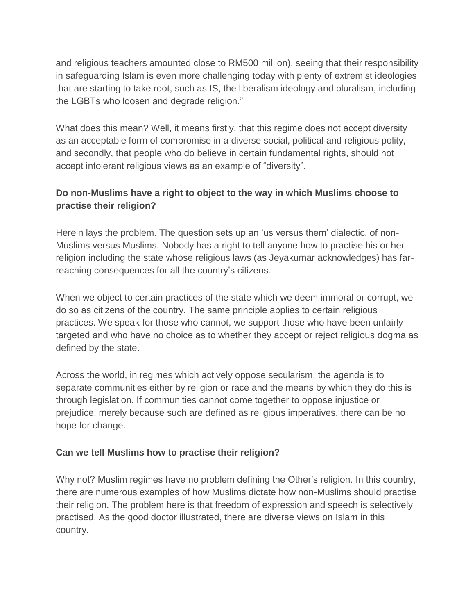and religious teachers amounted close to RM500 million), seeing that their responsibility in safeguarding Islam is even more challenging today with plenty of extremist ideologies that are starting to take root, such as IS, the liberalism ideology and pluralism, including the LGBTs who loosen and degrade religion."

What does this mean? Well, it means firstly, that this regime does not accept diversity as an acceptable form of compromise in a diverse social, political and religious polity, and secondly, that people who do believe in certain fundamental rights, should not accept intolerant religious views as an example of "diversity".

## **Do non-Muslims have a right to object to the way in which Muslims choose to practise their religion?**

Herein lays the problem. The question sets up an 'us versus them' dialectic, of non-Muslims versus Muslims. Nobody has a right to tell anyone how to practise his or her religion including the state whose religious laws (as Jeyakumar acknowledges) has farreaching consequences for all the country's citizens.

When we object to certain practices of the state which we deem immoral or corrupt, we do so as citizens of the country. The same principle applies to certain religious practices. We speak for those who cannot, we support those who have been unfairly targeted and who have no choice as to whether they accept or reject religious dogma as defined by the state.

Across the world, in regimes which actively oppose secularism, the agenda is to separate communities either by religion or race and the means by which they do this is through legislation. If communities cannot come together to oppose injustice or prejudice, merely because such are defined as religious imperatives, there can be no hope for change.

## **Can we tell Muslims how to practise their religion?**

Why not? Muslim regimes have no problem defining the Other's religion. In this country, there are numerous examples of how Muslims dictate how non-Muslims should practise their religion. The problem here is that freedom of expression and speech is selectively practised. As the good doctor illustrated, there are diverse views on Islam in this country.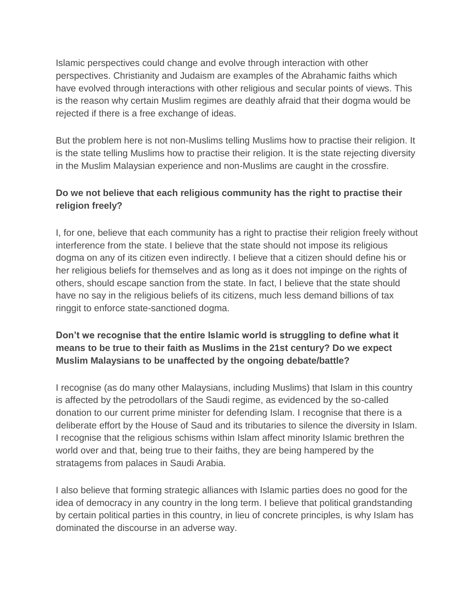Islamic perspectives could change and evolve through interaction with other perspectives. Christianity and Judaism are examples of the Abrahamic faiths which have evolved through interactions with other religious and secular points of views. This is the reason why certain Muslim regimes are deathly afraid that their dogma would be rejected if there is a free exchange of ideas.

But the problem here is not non-Muslims telling Muslims how to practise their religion. It is the state telling Muslims how to practise their religion. It is the state rejecting diversity in the Muslim Malaysian experience and non-Muslims are caught in the crossfire.

## **Do we not believe that each religious community has the right to practise their religion freely?**

I, for one, believe that each community has a right to practise their religion freely without interference from the state. I believe that the state should not impose its religious dogma on any of its citizen even indirectly. I believe that a citizen should define his or her religious beliefs for themselves and as long as it does not impinge on the rights of others, should escape sanction from the state. In fact, I believe that the state should have no say in the religious beliefs of its citizens, much less demand billions of tax ringgit to enforce state-sanctioned dogma.

## **Don't we recognise that the entire Islamic world is struggling to define what it means to be true to their faith as Muslims in the 21st century? Do we expect Muslim Malaysians to be unaffected by the ongoing debate/battle?**

I recognise (as do many other Malaysians, including Muslims) that Islam in this country is affected by the petrodollars of the Saudi regime, as evidenced by the so-called donation to our current prime minister for defending Islam. I recognise that there is a deliberate effort by the House of Saud and its tributaries to silence the diversity in Islam. I recognise that the religious schisms within Islam affect minority Islamic brethren the world over and that, being true to their faiths, they are being hampered by the stratagems from palaces in Saudi Arabia.

I also believe that forming strategic alliances with Islamic parties does no good for the idea of democracy in any country in the long term. I believe that political grandstanding by certain political parties in this country, in lieu of concrete principles, is why Islam has dominated the discourse in an adverse way.